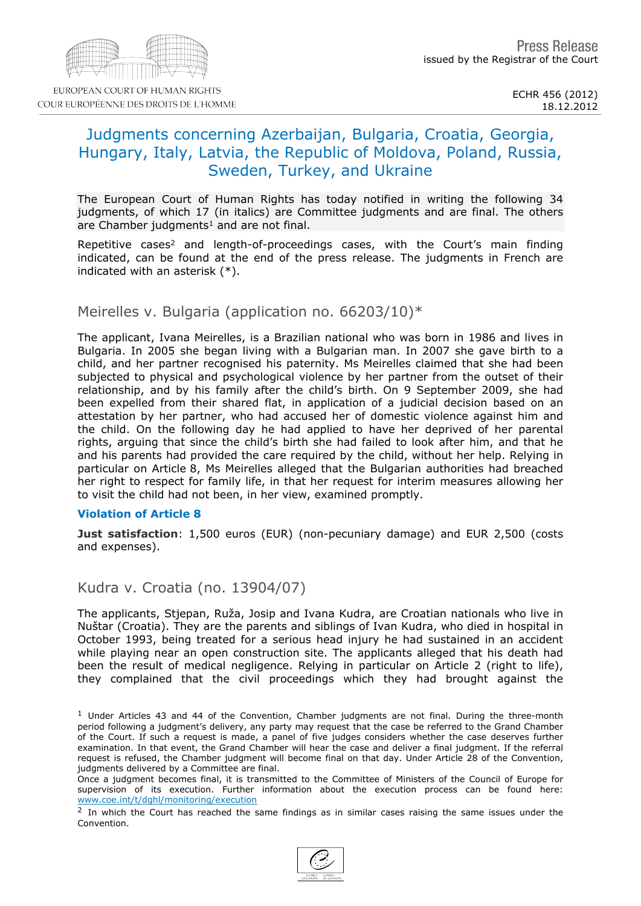# Judgments concerning Azerbaijan, Bulgaria, Croatia, Georgia, Hungary, Italy, Latvia, the Republic of Moldova, Poland, Russia, Sweden, Turkey, and Ukraine

The European Court of Human Rights has today notified in writing the following 34 judgments, of which 17 (in italics) are Committee judgments and are final. The others are Chamber judgments  $1$  and are not final.

Repetitive cases<sup>2</sup> and length-of-proceedings cases, with the Court's main finding indicated, can be found at the end of the press release. The judgments in French are indicated with an asterisk (\*).

#### Meirelles v. Bulgaria (application no. 66203/10)\*

The applicant, Ivana Meirelles, is a Brazilian national who was born in 1986 and lives in Bulgaria. In 2005 she began living with a Bulgarian man. In 2007 she gave birth to a child, and her partner recognised his paternity. Ms Meirelles claimed that she had been subjected to physical and psychological violence by her partner from the outset of their relationship, and by his family after the child's birth. On 9 September 2009, she had been expelled from their shared flat, in application of a judicial decision based on an attestation by her partner, who had accused her of domestic violence against him and the child. On the following day he had applied to have her deprived of her parental rights, arguing that since the child's birth she had failed to look after him, and that he and his parents had provided the care required by the child, without her help. Relying in particular on Article 8, Ms Meirelles alleged that the Bulgarian authorities had breached her right to respect for family life, in that her request for interim measures allowing her to visit the child had not been, in her view, examined promptly.

#### Violation of Article 8

Just satisfaction: 1,500 euros (EUR) (non-pecuniary damage) and EUR 2,500 (costs and expenses).

#### Kudra v. Croatia (no. 13904/07)

The applicants, Stjepan, Ruža, Josip and Ivana Kudra, are Croatian nationals who live in Nuštar (Croatia). They are the parents and siblings of Ivan Kudra, who died in hospital in October 1993, being treated for a serious head injury he had sustained in an accident while playing near an open construction site. The applicants alleged that his death had been the result of medical negligence. Relying in particular on Article 2 (right to life), they complained that the civil proceedings which they had brought against the

<sup>&</sup>lt;sup>1</sup> Under Articles 43 and 44 of the Convention, Chamber judgments are not final. During the three-month period following a judgment's delivery, any party may request that the case be referred to the Grand Chamber of the Court. If such a request is made, a panel of five judges considers whether the case deserves further examination. In that event, the Grand Chamber will hear the case and deliver a final judgment. If the referral request is refused, the Chamber judgment will become final on that day. Under Article 28 of the Convention, judgments delivered by a Committee are final.

Once a judgment becomes final, it is transmitted to the Committee of Ministers of the Council of Europe for supervision of its execution. Further information about the execution process can be found here: [www.coe.int/t/dghl/monitoring/execution](http://www.coe.int/t/dghl/monitoring/execution)

 $2$  In which the Court has reached the same findings as in similar cases raising the same issues under the Convention.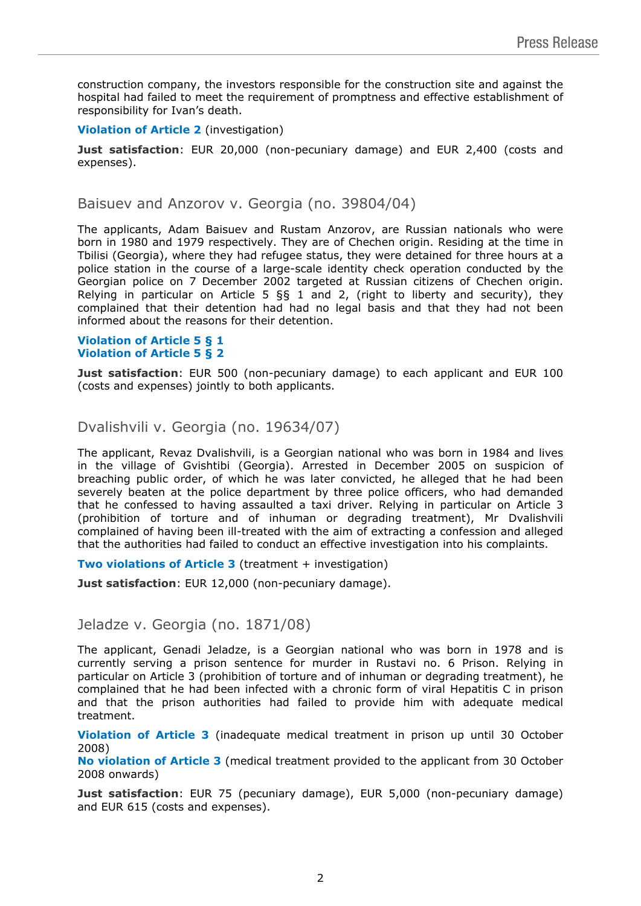construction company, the investors responsible for the construction site and against the hospital had failed to meet the requirement of promptness and effective establishment of responsibility for Ivan's death.

#### **Violation of Article 2** (investigation)

**Just satisfaction**: EUR 20,000 (non-pecuniary damage) and EUR 2,400 (costs and expenses).

Baisuev and Anzorov v. Georgia (no. 39804/04)

The applicants, Adam Baisuev and Rustam Anzorov, are Russian nationals who were born in 1980 and 1979 respectively. They are of Chechen origin. Residing at the time in Tbilisi (Georgia), where they had refugee status, they were detained for three hours at a police station in the course of a large-scale identity check operation conducted by the Georgian police on 7 December 2002 targeted at Russian citizens of Chechen origin. Relying in particular on Article 5 §§ 1 and 2, (right to liberty and security), they complained that their detention had had no legal basis and that they had not been informed about the reasons for their detention.

#### **Violation of Article 5 § 1 Violation of Article 5 § 2**

**Just satisfaction**: EUR 500 (non-pecuniary damage) to each applicant and EUR 100 (costs and expenses) jointly to both applicants.

# Dvalishvili v. Georgia (no. 19634/07)

The applicant, Revaz Dvalishvili, is a Georgian national who was born in 1984 and lives in the village of Gvishtibi (Georgia). Arrested in December 2005 on suspicion of breaching public order, of which he was later convicted, he alleged that he had been severely beaten at the police department by three police officers, who had demanded that he confessed to having assaulted a taxi driver. Relying in particular on Article 3 (prohibition of torture and of inhuman or degrading treatment), Mr Dvalishvili complained of having been ill-treated with the aim of extracting a confession and alleged that the authorities had failed to conduct an effective investigation into his complaints.

**Two violations of Article 3** (treatment + investigation)

**Just satisfaction**: EUR 12,000 (non-pecuniary damage).

### Jeladze v. Georgia (no. 1871/08)

The applicant, Genadi Jeladze, is a Georgian national who was born in 1978 and is currently serving a prison sentence for murder in Rustavi no. 6 Prison. Relying in particular on Article 3 (prohibition of torture and of inhuman or degrading treatment), he complained that he had been infected with a chronic form of viral Hepatitis C in prison and that the prison authorities had failed to provide him with adequate medical treatment.

**Violation of Article 3** (inadequate medical treatment in prison up until 30 October 2008)

**No violation of Article 3** (medical treatment provided to the applicant from 30 October 2008 onwards)

**Just satisfaction**: EUR 75 (pecuniary damage), EUR 5,000 (non-pecuniary damage) and EUR 615 (costs and expenses).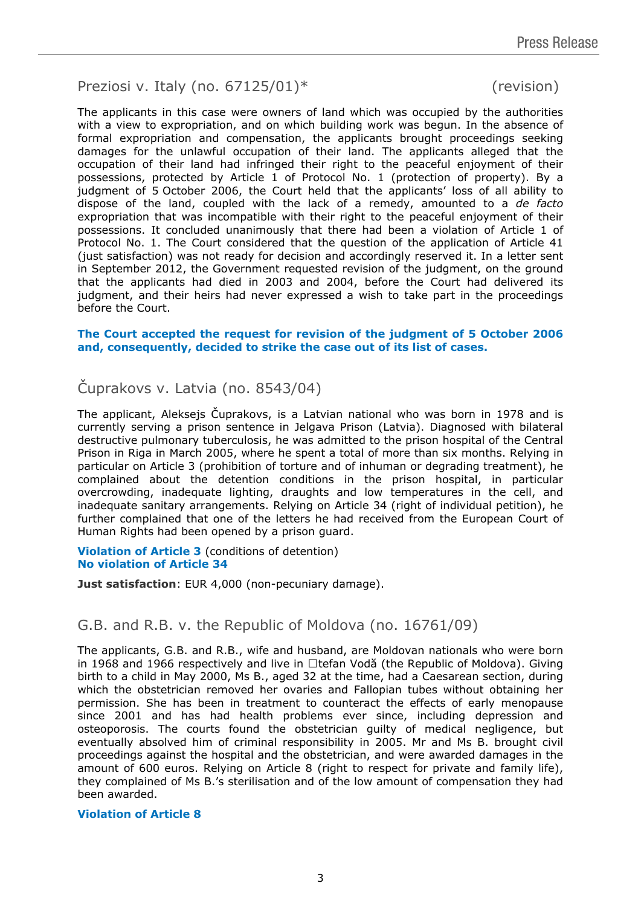# Preziosi v. Italy (no. 67125/01)\* (revision)

The applicants in this case were owners of land which was occupied by the authorities with a view to expropriation, and on which building work was begun. In the absence of formal expropriation and compensation, the applicants brought proceedings seeking damages for the unlawful occupation of their land. The applicants alleged that the occupation of their land had infringed their right to the peaceful enjoyment of their possessions, protected by Article 1 of Protocol No. 1 (protection of property). By a judgment of 5 October 2006, the Court held that the applicants' loss of all ability to dispose of the land, coupled with the lack of a remedy, amounted to a *de facto* expropriation that was incompatible with their right to the peaceful enjoyment of their possessions. It concluded unanimously that there had been a violation of Article 1 of Protocol No. 1. The Court considered that the question of the application of Article 41 (just satisfaction) was not ready for decision and accordingly reserved it. In a letter sent in September 2012, the Government requested revision of the judgment, on the ground that the applicants had died in 2003 and 2004, before the Court had delivered its judgment, and their heirs had never expressed a wish to take part in the proceedings before the Court.

#### **The Court accepted the request for revision of the judgment of 5 October 2006 and, consequently, decided to strike the case out of its list of cases.**

# Čuprakovs v. Latvia (no. 8543/04)

The applicant, Aleksejs Čuprakovs, is a Latvian national who was born in 1978 and is currently serving a prison sentence in Jelgava Prison (Latvia). Diagnosed with bilateral destructive pulmonary tuberculosis, he was admitted to the prison hospital of the Central Prison in Riga in March 2005, where he spent a total of more than six months. Relying in particular on Article 3 (prohibition of torture and of inhuman or degrading treatment), he complained about the detention conditions in the prison hospital, in particular overcrowding, inadequate lighting, draughts and low temperatures in the cell, and inadequate sanitary arrangements. Relying on Article 34 (right of individual petition), he further complained that one of the letters he had received from the European Court of Human Rights had been opened by a prison guard.

**Violation of Article 3** (conditions of detention) **No violation of Article 34**

**Just satisfaction**: EUR 4,000 (non-pecuniary damage).

# G.B. and R.B. v. the Republic of Moldova (no. 16761/09)

The applicants, G.B. and R.B., wife and husband, are Moldovan nationals who were born in 1968 and 1966 respectively and live in  $\Box$ tefan Vodă (the Republic of Moldova). Giving birth to a child in May 2000, Ms B., aged 32 at the time, had a Caesarean section, during which the obstetrician removed her ovaries and Fallopian tubes without obtaining her permission. She has been in treatment to counteract the effects of early menopause since 2001 and has had health problems ever since, including depression and osteoporosis. The courts found the obstetrician guilty of medical negligence, but eventually absolved him of criminal responsibility in 2005. Mr and Ms B. brought civil proceedings against the hospital and the obstetrician, and were awarded damages in the amount of 600 euros. Relying on Article 8 (right to respect for private and family life), they complained of Ms B.'s sterilisation and of the low amount of compensation they had been awarded.

#### **Violation of Article 8**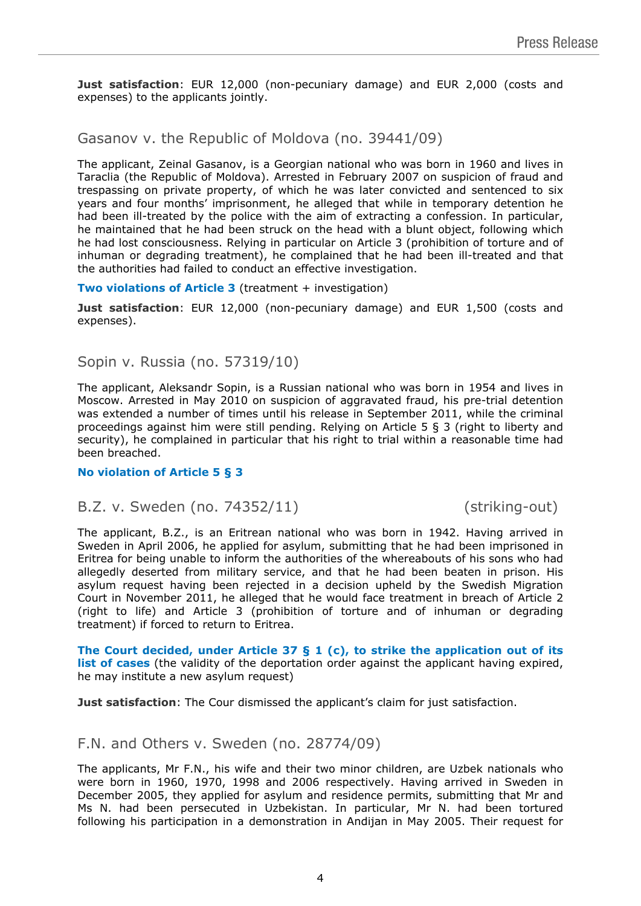**Just satisfaction**: EUR 12,000 (non-pecuniary damage) and EUR 2,000 (costs and expenses) to the applicants jointly.

# Gasanov v. the Republic of Moldova (no. 39441/09)

The applicant, Zeinal Gasanov, is a Georgian national who was born in 1960 and lives in Taraclia (the Republic of Moldova). Arrested in February 2007 on suspicion of fraud and trespassing on private property, of which he was later convicted and sentenced to six years and four months' imprisonment, he alleged that while in temporary detention he had been ill-treated by the police with the aim of extracting a confession. In particular, he maintained that he had been struck on the head with a blunt object, following which he had lost consciousness. Relying in particular on Article 3 (prohibition of torture and of inhuman or degrading treatment), he complained that he had been ill-treated and that the authorities had failed to conduct an effective investigation.

**Two violations of Article 3** (treatment + investigation)

**Just satisfaction**: EUR 12,000 (non-pecuniary damage) and EUR 1,500 (costs and expenses).

## Sopin v. Russia (no. 57319/10)

The applicant, Aleksandr Sopin, is a Russian national who was born in 1954 and lives in Moscow. Arrested in May 2010 on suspicion of aggravated fraud, his pre-trial detention was extended a number of times until his release in September 2011, while the criminal proceedings against him were still pending. Relying on Article 5 § 3 (right to liberty and security), he complained in particular that his right to trial within a reasonable time had been breached.

#### **No violation of Article 5 § 3**

### B.Z. v. Sweden (no. 74352/11) (striking-out)

The applicant, B.Z., is an Eritrean national who was born in 1942. Having arrived in Sweden in April 2006, he applied for asylum, submitting that he had been imprisoned in Eritrea for being unable to inform the authorities of the whereabouts of his sons who had allegedly deserted from military service, and that he had been beaten in prison. His asylum request having been rejected in a decision upheld by the Swedish Migration Court in November 2011, he alleged that he would face treatment in breach of Article 2 (right to life) and Article 3 (prohibition of torture and of inhuman or degrading treatment) if forced to return to Eritrea.

**The Court decided, under Article 37 § 1 (c), to strike the application out of its list of cases** (the validity of the deportation order against the applicant having expired, he may institute a new asylum request)

**Just satisfaction**: The Cour dismissed the applicant's claim for just satisfaction.

# F.N. and Others v. Sweden (no. 28774/09)

The applicants, Mr F.N., his wife and their two minor children, are Uzbek nationals who were born in 1960, 1970, 1998 and 2006 respectively. Having arrived in Sweden in December 2005, they applied for asylum and residence permits, submitting that Mr and Ms N. had been persecuted in Uzbekistan. In particular, Mr N. had been tortured following his participation in a demonstration in Andijan in May 2005. Their request for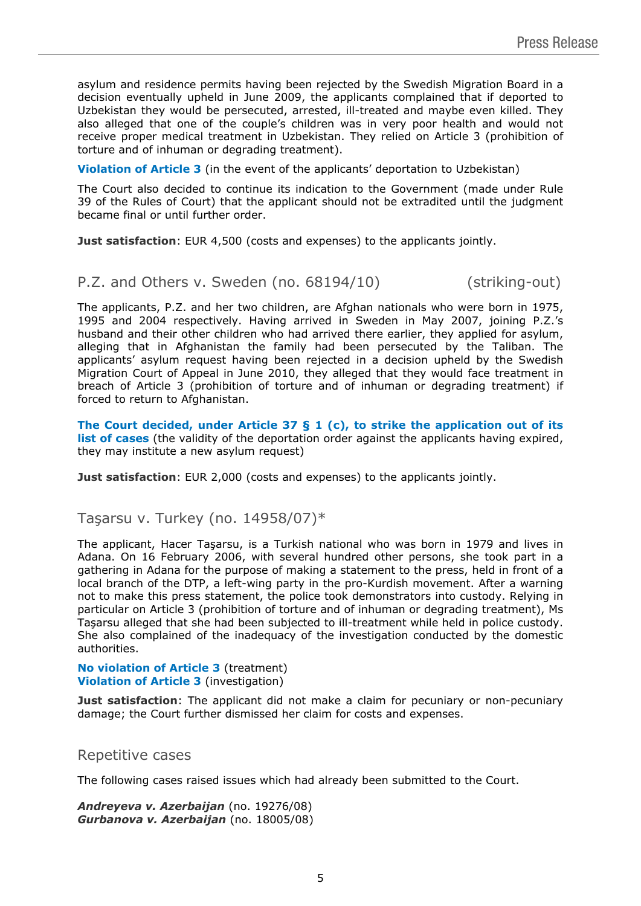asylum and residence permits having been rejected by the Swedish Migration Board in a decision eventually upheld in June 2009, the applicants complained that if deported to Uzbekistan they would be persecuted, arrested, ill-treated and maybe even killed. They also alleged that one of the couple's children was in very poor health and would not receive proper medical treatment in Uzbekistan. They relied on Article 3 (prohibition of torture and of inhuman or degrading treatment).

**Violation of Article 3** (in the event of the applicants' deportation to Uzbekistan)

The Court also decided to continue its indication to the Government (made under Rule 39 of the Rules of Court) that the applicant should not be extradited until the judgment became final or until further order.

**Just satisfaction**: EUR 4,500 (costs and expenses) to the applicants jointly.

### P.Z. and Others v. Sweden (no. 68194/10) (striking-out)

The applicants, P.Z. and her two children, are Afghan nationals who were born in 1975, 1995 and 2004 respectively. Having arrived in Sweden in May 2007, joining P.Z.'s husband and their other children who had arrived there earlier, they applied for asylum, alleging that in Afghanistan the family had been persecuted by the Taliban. The applicants' asylum request having been rejected in a decision upheld by the Swedish Migration Court of Appeal in June 2010, they alleged that they would face treatment in breach of Article 3 (prohibition of torture and of inhuman or degrading treatment) if forced to return to Afghanistan.

**The Court decided, under Article 37 § 1 (c), to strike the application out of its list of cases** (the validity of the deportation order against the applicants having expired, they may institute a new asylum request)

**Just satisfaction**: EUR 2,000 (costs and expenses) to the applicants jointly.

### Tasarsu v. Turkey (no.  $14958/07$ )\*

The applicant, Hacer Taşarsu, is a Turkish national who was born in 1979 and lives in Adana. On 16 February 2006, with several hundred other persons, she took part in a gathering in Adana for the purpose of making a statement to the press, held in front of a local branch of the DTP, a left-wing party in the pro-Kurdish movement. After a warning not to make this press statement, the police took demonstrators into custody. Relying in particular on Article 3 (prohibition of torture and of inhuman or degrading treatment), Ms Taşarsu alleged that she had been subjected to ill-treatment while held in police custody. She also complained of the inadequacy of the investigation conducted by the domestic authorities.

#### **No violation of Article 3** (treatment) **Violation of Article 3** (investigation)

**Just satisfaction**: The applicant did not make a claim for pecuniary or non-pecuniary damage; the Court further dismissed her claim for costs and expenses.

#### Repetitive cases

The following cases raised issues which had already been submitted to the Court.

*Andreyeva v. Azerbaijan* (no. 19276/08) *Gurbanova v. Azerbaijan* (no. 18005/08)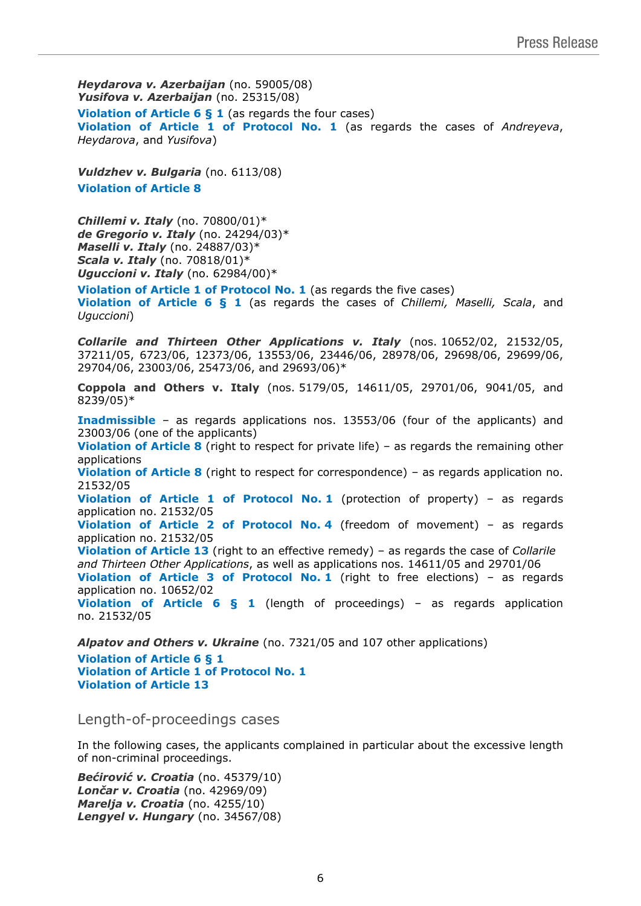*Heydarova v. Azerbaijan* (no. 59005/08) *Yusifova v. Azerbaijan* (no. 25315/08) **Violation of Article 6 § 1** (as regards the four cases) **Violation of Article 1 of Protocol No. 1** (as regards the cases of *Andreyeva*, *Heydarova*, and *Yusifova*)

*Vuldzhev v. Bulgaria* (no. 6113/08) **Violation of Article 8**

*Chillemi v. Italy* (no. 70800/01)\* *de Gregorio v. Italy* (no. 24294/03)\* *Maselli v. Italy* (no. 24887/03)\* *Scala v. Italy* (no. 70818/01)\* *Uguccioni v. Italy* (no. 62984/00)\*

**Violation of Article 1 of Protocol No. 1** (as regards the five cases) **Violation of Article 6 § 1** (as regards the cases of *Chillemi, Maselli, Scala*, and *Uguccioni*)

*Collarile and Thirteen Other Applications v. Italy* (nos. 10652/02, 21532/05, 37211/05, 6723/06, 12373/06, 13553/06, 23446/06, 28978/06, 29698/06, 29699/06, 29704/06, 23003/06, 25473/06, and 29693/06)\*

**Coppola and Others v. Italy** (nos. 5179/05, 14611/05, 29701/06, 9041/05, and 8239/05)\*

**Inadmissible** – as regards applications nos. 13553/06 (four of the applicants) and 23003/06 (one of the applicants) **Violation of Article 8** (right to respect for private life) – as regards the remaining other applications **Violation of Article 8** (right to respect for correspondence) – as regards application no. 21532/05 **Violation of Article 1 of Protocol No. 1** (protection of property) – as regards application no. 21532/05 **Violation of Article 2 of Protocol No. 4** (freedom of movement) – as regards application no. 21532/05 **Violation of Article 13** (right to an effective remedy) – as regards the case of *Collarile and Thirteen Other Applications*, as well as applications nos. 14611/05 and 29701/06 **Violation of Article 3 of Protocol No. 1** (right to free elections) – as regards application no. 10652/02 **Violation of Article 6 § 1** (length of proceedings) – as regards application no. 21532/05

*Alpatov and Others v. Ukraine* (no. 7321/05 and 107 other applications) **Violation of Article 6 § 1 Violation of Article 1 of Protocol No. 1 Violation of Article 13**

Length-of-proceedings cases

In the following cases, the applicants complained in particular about the excessive length of non-criminal proceedings.

*Bećirović v. Croatia* (no. 45379/10) *Lončar v. Croatia* (no. 42969/09) *Marelja v. Croatia* (no. 4255/10) *Lengyel v. Hungary* (no. 34567/08)